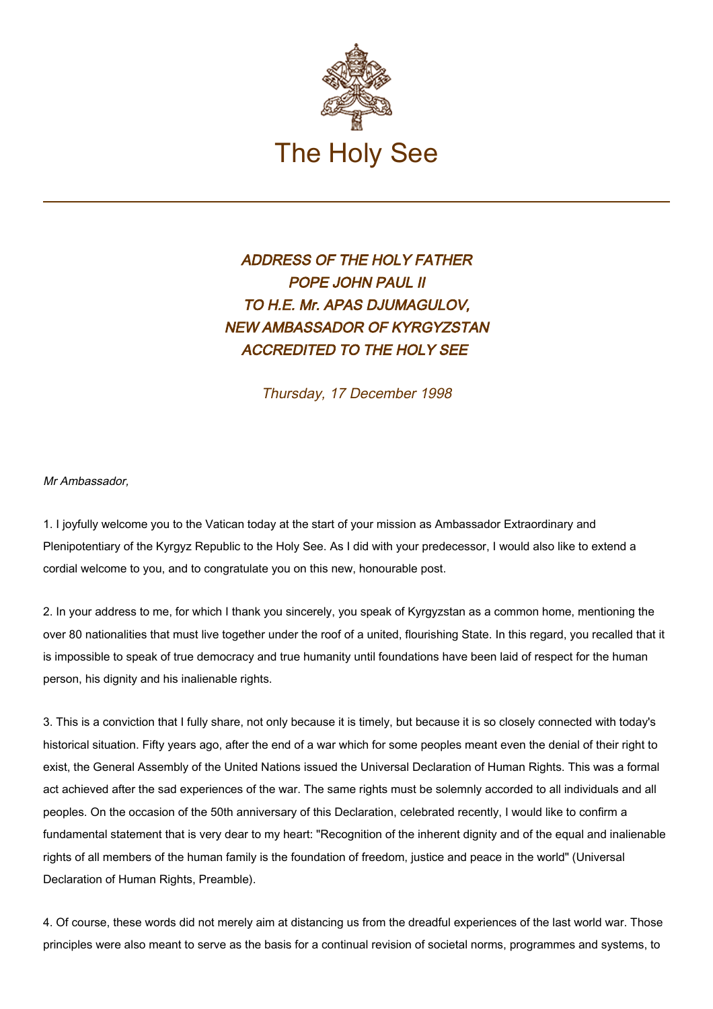

## ADDRESS OF THE HOLY FATHER POPE JOHN PAUL II TO H.E. Mr. APAS DJUMAGULOV, NEW AMBASSADOR OF KYRGYZSTAN ACCREDITED TO THE HOLY SEE

Thursday, 17 December 1998

## Mr Ambassador,

1. I joyfully welcome you to the Vatican today at the start of your mission as Ambassador Extraordinary and Plenipotentiary of the Kyrgyz Republic to the Holy See. As I did with your predecessor, I would also like to extend a cordial welcome to you, and to congratulate you on this new, honourable post.

2. In your address to me, for which I thank you sincerely, you speak of Kyrgyzstan as a common home, mentioning the over 80 nationalities that must live together under the roof of a united, flourishing State. In this regard, you recalled that it is impossible to speak of true democracy and true humanity until foundations have been laid of respect for the human person, his dignity and his inalienable rights.

3. This is a conviction that I fully share, not only because it is timely, but because it is so closely connected with today's historical situation. Fifty years ago, after the end of a war which for some peoples meant even the denial of their right to exist, the General Assembly of the United Nations issued the Universal Declaration of Human Rights. This was a formal act achieved after the sad experiences of the war. The same rights must be solemnly accorded to all individuals and all peoples. On the occasion of the 50th anniversary of this Declaration, celebrated recently, I would like to confirm a fundamental statement that is very dear to my heart: "Recognition of the inherent dignity and of the equal and inalienable rights of all members of the human family is the foundation of freedom, justice and peace in the world" (Universal Declaration of Human Rights, Preamble).

4. Of course, these words did not merely aim at distancing us from the dreadful experiences of the last world war. Those principles were also meant to serve as the basis for a continual revision of societal norms, programmes and systems, to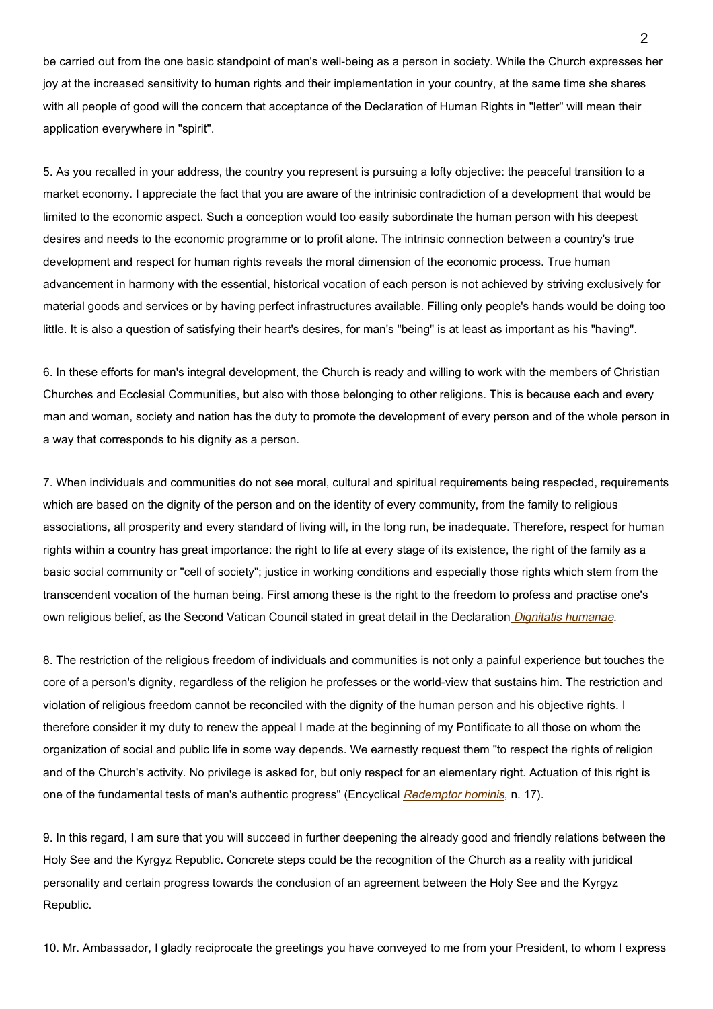be carried out from the one basic standpoint of man's well-being as a person in society. While the Church expresses her joy at the increased sensitivity to human rights and their implementation in your country, at the same time she shares with all people of good will the concern that acceptance of the Declaration of Human Rights in "letter" will mean their application everywhere in "spirit".

5. As you recalled in your address, the country you represent is pursuing a lofty objective: the peaceful transition to a market economy. I appreciate the fact that you are aware of the intrinisic contradiction of a development that would be limited to the economic aspect. Such a conception would too easily subordinate the human person with his deepest desires and needs to the economic programme or to profit alone. The intrinsic connection between a country's true development and respect for human rights reveals the moral dimension of the economic process. True human advancement in harmony with the essential, historical vocation of each person is not achieved by striving exclusively for material goods and services or by having perfect infrastructures available. Filling only people's hands would be doing too little. It is also a question of satisfying their heart's desires, for man's "being" is at least as important as his "having".

6. In these efforts for man's integral development, the Church is ready and willing to work with the members of Christian Churches and Ecclesial Communities, but also with those belonging to other religions. This is because each and every man and woman, society and nation has the duty to promote the development of every person and of the whole person in a way that corresponds to his dignity as a person.

7. When individuals and communities do not see moral, cultural and spiritual requirements being respected, requirements which are based on the dignity of the person and on the identity of every community, from the family to religious associations, all prosperity and every standard of living will, in the long run, be inadequate. Therefore, respect for human rights within a country has great importance: the right to life at every stage of its existence, the right of the family as a basic social community or "cell of society"; justice in working conditions and especially those rights which stem from the transcendent vocation of the human being. First among these is the right to the freedom to profess and practise one's own religious belief, as the Second Vatican Council stated in great detail in the Declaration [Dignitatis humanae](http://www.vatican.va/archive/hist_councils/ii_vatican_council/documents/vat-ii_decl_19651207_dignitatis-humanae_en.html).

8. The restriction of the religious freedom of individuals and communities is not only a painful experience but touches the core of a person's dignity, regardless of the religion he professes or the world-view that sustains him. The restriction and violation of religious freedom cannot be reconciled with the dignity of the human person and his objective rights. I therefore consider it my duty to renew the appeal I made at the beginning of my Pontificate to all those on whom the organization of social and public life in some way depends. We earnestly request them "to respect the rights of religion and of the Church's activity. No privilege is asked for, but only respect for an elementary right. Actuation of this right is one of the fundamental tests of man's authentic progress" (Encyclical [Redemptor hominis](http://www.vatican.va/edocs/ENG0218/_INDEX.HTM), n. 17).

9. In this regard, I am sure that you will succeed in further deepening the already good and friendly relations between the Holy See and the Kyrgyz Republic. Concrete steps could be the recognition of the Church as a reality with juridical personality and certain progress towards the conclusion of an agreement between the Holy See and the Kyrgyz Republic.

10. Mr. Ambassador, I gladly reciprocate the greetings you have conveyed to me from your President, to whom I express